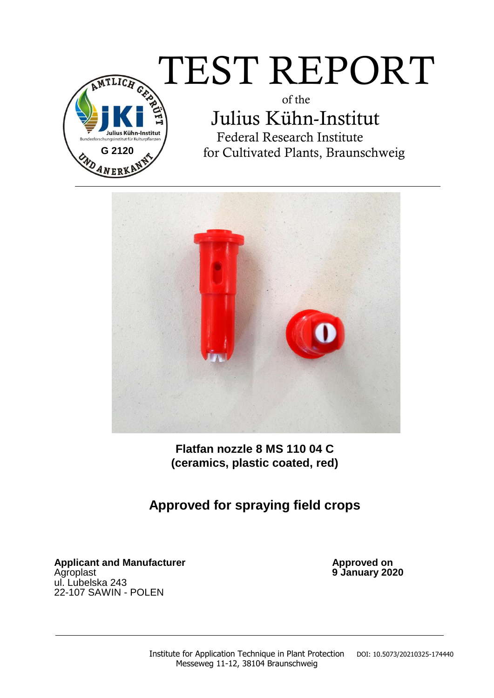# $\overline{\text{TEST} \text{ REPORT}}$

 of the Julius Kühn-Institut Federal Research Institute for Cultivated Plants, Braunschweig



**Flatfan nozzle 8 MS 110 04 C (ceramics, plastic coated, red)** 

## **Approved for spraying field crops**

Applicant and Manufacturer **Applicant and Manufacturer Approved on** Agroplast **9 January 2020** ul. Lubelska 243 22-107 SAWIN - POLEN